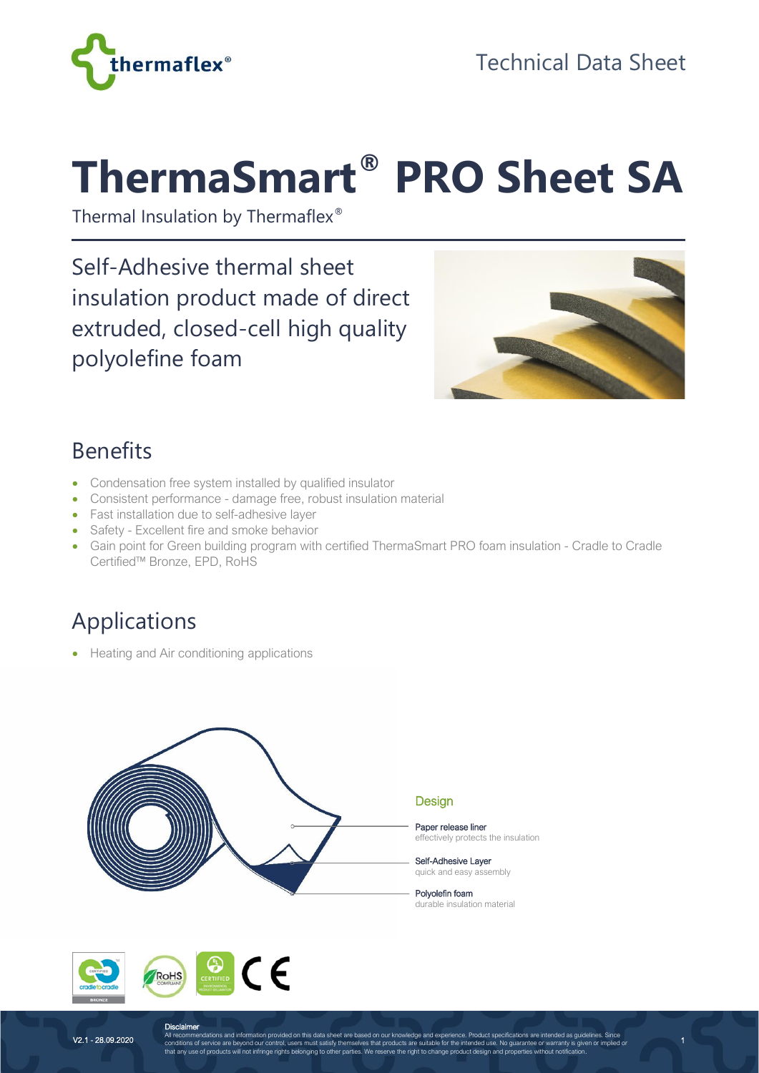

# **ThermaSmart® PRO Sheet SA**

Thermal Insulation by Thermaflex®

Self-Adhesive thermal sheet insulation product made of direct extruded, closed-cell high quality polyolefine foam



#### Benefits

- Condensation free system installed by qualified insulator
- Consistent performance damage free, robust insulation material
- Fast installation due to self-adhesive layer
- Safety Excellent fire and smoke behavior
- Gain point for Green building program with certified ThermaSmart PRO foam insulation Cradle to Cradle Certified™ Bronze, EPD, RoHS

## Applications

• Heating and Air conditioning applications





V2.1 - 28.09.2020

1